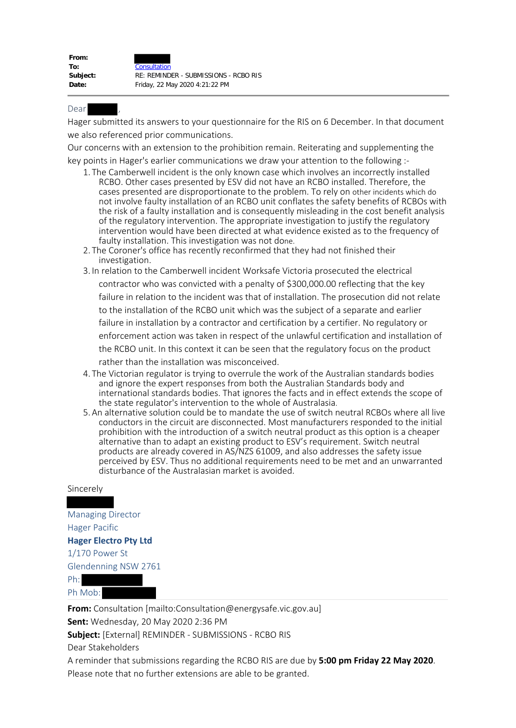Dear ,

Hager submitted its answers to your questionnaire for the RIS on 6 December. In that document we also referenced prior communications.

Our concerns with an extension to the prohibition remain. Reiterating and supplementing the key points in Hager's earlier communications we draw your attention to the following :-

- 1. The Camberwell incident is the only known case which involves an incorrectly installed RCBO. Other cases presented by ESV did not have an RCBO installed. Therefore, the cases presented are disproportionate to the problem. To rely on other incidents which do not involve faulty installation of an RCBO unit conflates the safety benefits of RCBOs with the risk of a faulty installation and is consequently misleading in the cost benefit analysis of the regulatory intervention. The appropriate investigation to justify the regulatory intervention would have been directed at what evidence existed as to the frequency of faulty installation. This investigation was not done.
- 2. The Coroner's office has recently reconfirmed that they had not finished their investigation.
- 3. In relation to the Camberwell incident Worksafe Victoria prosecuted the electrical contractor who was convicted with a penalty of \$300,000.00 reflecting that the key failure in relation to the incident was that of installation. The prosecution did not relate to the installation of the RCBO unit which was the subject of a separate and earlier failure in installation by a contractor and certification by a certifier. No regulatory or enforcement action was taken in respect of the unlawful certification and installation of the RCBO unit. In this context it can be seen that the regulatory focus on the product rather than the installation was misconceived.
- 4. The Victorian regulator is trying to overrule the work of the Australian standards bodies and ignore the expert responses from both the Australian Standards body and international standards bodies. That ignores the facts and in effect extends the scope of the state regulator's intervention to the whole of Australasia.
- 5.An alternative solution could be to mandate the use of switch neutral RCBOs where all live conductors in the circuit are disconnected. Most manufacturers responded to the initial prohibition with the introduction of a switch neutral product as this option is a cheaper alternative than to adapt an existing product to ESV's requirement. Switch neutral products are already covered in AS/NZS 61009, and also addresses the safety issue perceived by ESV. Thus no additional requirements need to be met and an unwarranted disturbance of the Australasian market is avoided.

## Sincerely

Managing Director Hager Pacific **Hager Electro Pty Ltd** 1/170 Power St Glendenning NSW 2761 Ph: Ph Mob:

**From:** Consultation [mailto:Consultation@energysafe.vic.gov.au] **Sent:** Wednesday, 20 May 2020 2:36 PM **Subject:** [External] REMINDER - SUBMISSIONS - RCBO RIS Dear Stakeholders A reminder that submissions regarding the RCBO RIS are due by **5:00 pm Friday 22 May 2020**.

Please note that no further extensions are able to be granted.